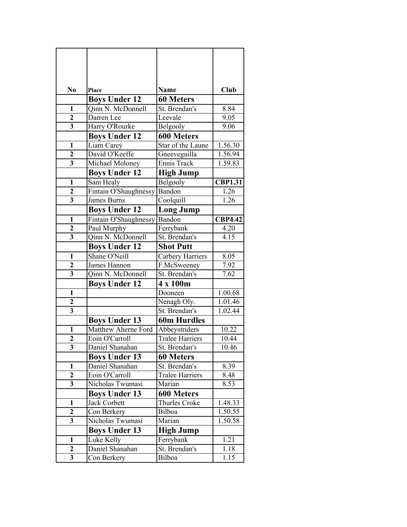| No                      | Place                 | <b>Name</b>            | Club           |
|-------------------------|-----------------------|------------------------|----------------|
|                         | <b>Boys Under 12</b>  | <b>60 Meters</b>       |                |
| 1                       | Oinn N. McDonnell     | St. Brendan's          | 8.84           |
| $\overline{2}$          | Darren Lee            | Leevale                | 9.05           |
| 3                       | Harry O'Rourke        | Belgooly               | 9.06           |
|                         | <b>Boys Under 12</b>  | <b>600 Meters</b>      |                |
| $\mathbf{1}$            | Liam Carey            | Star of the Laune      | 1.56.30        |
| $\overline{2}$          | David O'Keeffe        | Gneeveguilla           | 1.56.94        |
| 3                       | Michael Moloney       | Ennis Track            | 1.59.83        |
|                         | <b>Boys Under 12</b>  | <b>High Jump</b>       |                |
| $\mathbf{1}$            | Sam Healy             | Belgooly               | <b>CBP1.31</b> |
| $\overline{2}$          | Fintain O'Shaughnessy | Bandon                 | 1.26           |
| $\overline{\mathbf{3}}$ | <b>James Burns</b>    | Coolquill              | 1.26           |
|                         | <b>Boys Under 12</b>  | <b>Long Jump</b>       |                |
| $\mathbf{1}$            | Fintain O'Shaughnessy | Bandon                 | <b>CBP4.42</b> |
| $\mathbf{2}$            | Paul Murphy           | Ferrybank              | 4.20           |
| 3                       | Qinn N. McDonnell     | St. Brendan's          | 4.15           |
|                         | <b>Boys Under 12</b>  | <b>Shot Putt</b>       |                |
| $\mathbf{1}$            | Shane O'Neill         | Carbery Harriers       | 8.05           |
| $\overline{\mathbf{2}}$ | James Hannon          | F.McSweeney            | 7.92           |
| 3                       | Qinn N. McDonnell     | St. Brendan's          | 7.62           |
|                         | <b>Boys Under 12</b>  | 4 x 100m               |                |
| 1                       |                       | Dooneen                | 1.00.68        |
| $\overline{2}$          |                       | Nenagh Oly.            | 1.01.46        |
| 3                       |                       | St. Brendan's          | 1.02.44        |
|                         | <b>Boys Under 13</b>  | <b>60m Hurdles</b>     |                |
| $\mathbf{1}$            | Matthew Aherne Ford   | Abbeystriders          | 10.22          |
| $\overline{\mathbf{c}}$ | Eoin O'Carroll        | <b>Tralee Harriers</b> | 10.44          |
| 3                       | Daniel Shanahan       | St. Brendan's          | 10.46          |
|                         | <b>Boys Under 13</b>  | <b>60 Meters</b>       |                |
| 1                       | Daniel Shanahan       | St. Brendan's          | 8.39           |
| 2                       | Eoin O'Carroll        | Tralee Harriers        | 8.48           |
| 3                       | Nicholas Twumasi      | Marian                 | 8.53           |
|                         | <b>Boys Under 13</b>  | 600 Meters             |                |
| 1                       | <b>Jack Corbett</b>   | Thurles Croke          | 1.48.33        |
| 2                       | Con Berkery           | Bilboa                 | 1.50.55        |
| 3                       | Nicholas Twumasi      | Marian                 | 1.50.58        |
|                         | <b>Boys Under 13</b>  | <b>High Jump</b>       |                |
| 1                       | Luke Kelly            | Ferrybank              | 1.21           |
| 2                       | Daniel Shanahan       | St. Brendan's          | 1.18           |
| 3                       | Con Berkery           | Bilboa                 | 1.15           |